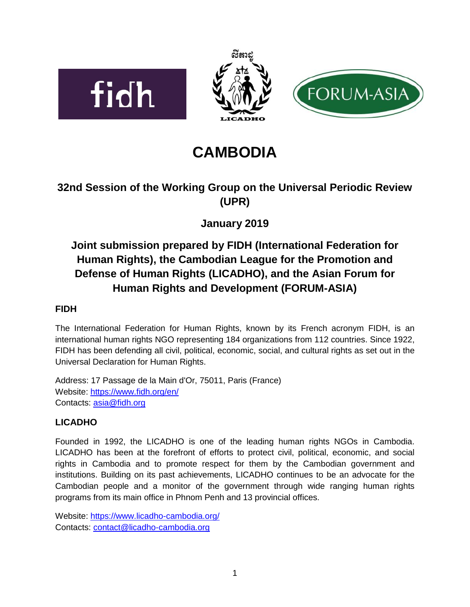





# **CAMBODIA**

### **32nd Session of the Working Group on the Universal Periodic Review (UPR)**

## **January 2019**

# **Joint submission prepared by FIDH (International Federation for Human Rights), the Cambodian League for the Promotion and Defense of Human Rights (LICADHO), and the Asian Forum for Human Rights and Development (FORUM-ASIA)**

### **FIDH**

The International Federation for Human Rights, known by its French acronym FIDH, is an international human rights NGO representing 184 organizations from 112 countries. Since 1922, FIDH has been defending all civil, political, economic, social, and cultural rights as set out in the Universal Declaration for Human Rights.

Address: 17 Passage de la Main d'Or, 75011, Paris (France) Website: <https://www.fidh.org/en/> Contacts: [asia@fidh.org](mailto:asia@fidh.org)

### **LICADHO**

Founded in 1992, the LICADHO is one of the leading human rights NGOs in Cambodia. LICADHO has been at the forefront of efforts to protect civil, political, economic, and social rights in Cambodia and to promote respect for them by the Cambodian government and institutions. Building on its past achievements, LICADHO continues to be an advocate for the Cambodian people and a monitor of the government through wide ranging human rights programs from its main office in Phnom Penh and 13 provincial offices.

Website: <https://www.licadho-cambodia.org/> Contacts: [contact@licadho-cambodia.org](mailto:contact@licadho-cambodia.org)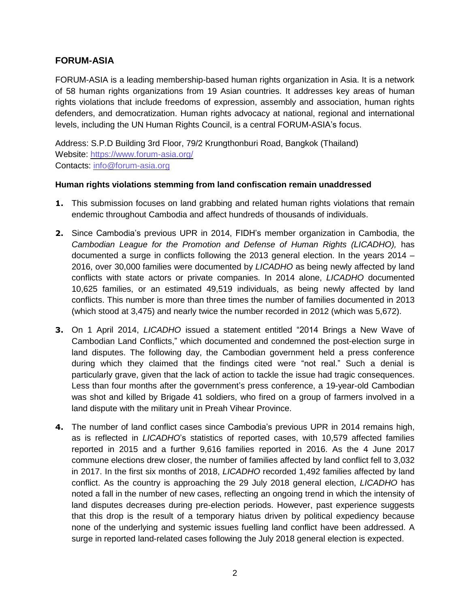#### **FORUM-ASIA**

FORUM-ASIA is a leading membership-based human rights organization in Asia. It is a network of 58 human rights organizations from 19 Asian countries. It addresses key areas of human rights violations that include freedoms of expression, assembly and association, human rights defenders, and democratization. Human rights advocacy at national, regional and international levels, including the UN Human Rights Council, is a central FORUM-ASIA's focus.

Address: S.P.D Building 3rd Floor, 79/2 Krungthonburi Road, Bangkok (Thailand) Website: <https://www.forum-asia.org/> Contacts: [info@forum-asia.org](mailto:info@forum-asia.org)

#### **Human rights violations stemming from land confiscation remain unaddressed**

- **1.** This submission focuses on land grabbing and related human rights violations that remain endemic throughout Cambodia and affect hundreds of thousands of individuals.
- **2.** Since Cambodia's previous UPR in 2014, FIDH's member organization in Cambodia, the *Cambodian League for the Promotion and Defense of Human Rights (LICADHO),* has documented a surge in conflicts following the 2013 general election. In the years 2014 – 2016, over 30,000 families were documented by *LICADHO* as being newly affected by land conflicts with state actors or private companies. In 2014 alone, *LICADHO* documented 10,625 families, or an estimated 49,519 individuals, as being newly affected by land conflicts. This number is more than three times the number of families documented in 2013 (which stood at 3,475) and nearly twice the number recorded in 2012 (which was 5,672).
- **3.** On 1 April 2014, *LICADHO* issued a statement entitled "2014 Brings a New Wave of Cambodian Land Conflicts," which documented and condemned the post-election surge in land disputes. The following day, the Cambodian government held a press conference during which they claimed that the findings cited were "not real." Such a denial is particularly grave, given that the lack of action to tackle the issue had tragic consequences. Less than four months after the government's press conference, a 19-year-old Cambodian was shot and killed by Brigade 41 soldiers, who fired on a group of farmers involved in a land dispute with the military unit in Preah Vihear Province.
- **4.** The number of land conflict cases since Cambodia's previous UPR in 2014 remains high, as is reflected in *LICADHO*'s statistics of reported cases, with 10,579 affected families reported in 2015 and a further 9,616 families reported in 2016. As the 4 June 2017 commune elections drew closer, the number of families affected by land conflict fell to 3,032 in 2017. In the first six months of 2018, *LICADHO* recorded 1,492 families affected by land conflict. As the country is approaching the 29 July 2018 general election, *LICADHO* has noted a fall in the number of new cases, reflecting an ongoing trend in which the intensity of land disputes decreases during pre-election periods. However, past experience suggests that this drop is the result of a temporary hiatus driven by political expediency because none of the underlying and systemic issues fuelling land conflict have been addressed. A surge in reported land-related cases following the July 2018 general election is expected.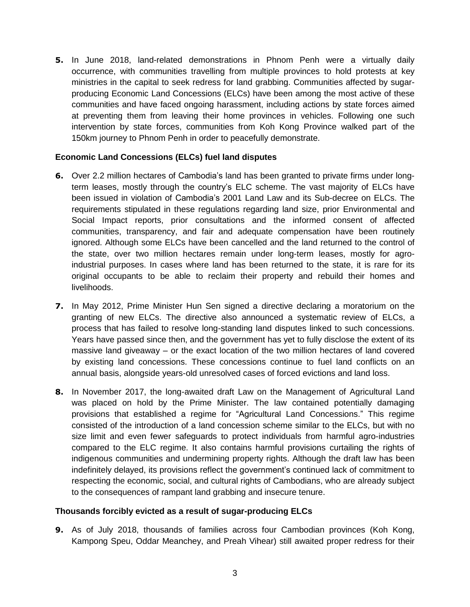**5.** In June 2018, land-related demonstrations in Phnom Penh were a virtually daily occurrence, with communities travelling from multiple provinces to hold protests at key ministries in the capital to seek redress for land grabbing. Communities affected by sugarproducing Economic Land Concessions (ELCs) have been among the most active of these communities and have faced ongoing harassment, including actions by state forces aimed at preventing them from leaving their home provinces in vehicles. Following one such intervention by state forces, communities from Koh Kong Province walked part of the 150km journey to Phnom Penh in order to peacefully demonstrate.

#### **Economic Land Concessions (ELCs) fuel land disputes**

- **6.** Over 2.2 million hectares of Cambodia's land has been granted to private firms under longterm leases, mostly through the country's ELC scheme. The vast majority of ELCs have been issued in violation of Cambodia's 2001 Land Law and its Sub-decree on ELCs. The requirements stipulated in these regulations regarding land size, prior Environmental and Social Impact reports, prior consultations and the informed consent of affected communities, transparency, and fair and adequate compensation have been routinely ignored. Although some ELCs have been cancelled and the land returned to the control of the state, over two million hectares remain under long-term leases, mostly for agroindustrial purposes. In cases where land has been returned to the state, it is rare for its original occupants to be able to reclaim their property and rebuild their homes and livelihoods.
- **7.** In May 2012, Prime Minister Hun Sen signed a directive declaring a moratorium on the granting of new ELCs. The directive also announced a systematic review of ELCs, a process that has failed to resolve long-standing land disputes linked to such concessions. Years have passed since then, and the government has yet to fully disclose the extent of its massive land giveaway – or the exact location of the two million hectares of land covered by existing land concessions. These concessions continue to fuel land conflicts on an annual basis, alongside years-old unresolved cases of forced evictions and land loss.
- **8.** In November 2017, the long-awaited draft Law on the Management of Agricultural Land was placed on hold by the Prime Minister. The law contained potentially damaging provisions that established a regime for "Agricultural Land Concessions." This regime consisted of the introduction of a land concession scheme similar to the ELCs, but with no size limit and even fewer safeguards to protect individuals from harmful agro-industries compared to the ELC regime. It also contains harmful provisions curtailing the rights of indigenous communities and undermining property rights. Although the draft law has been indefinitely delayed, its provisions reflect the government's continued lack of commitment to respecting the economic, social, and cultural rights of Cambodians, who are already subject to the consequences of rampant land grabbing and insecure tenure.

#### **Thousands forcibly evicted as a result of sugar-producing ELCs**

**9.** As of July 2018, thousands of families across four Cambodian provinces (Koh Kong, Kampong Speu, Oddar Meanchey, and Preah Vihear) still awaited proper redress for their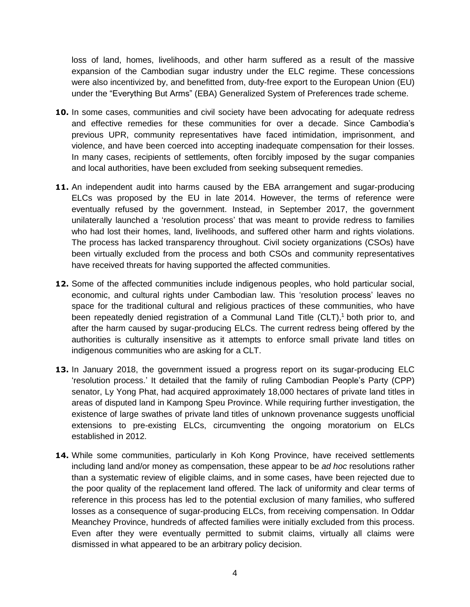loss of land, homes, livelihoods, and other harm suffered as a result of the massive expansion of the Cambodian sugar industry under the ELC regime. These concessions were also incentivized by, and benefitted from, duty-free export to the European Union (EU) under the "Everything But Arms" (EBA) Generalized System of Preferences trade scheme.

- **10.** In some cases, communities and civil society have been advocating for adequate redress and effective remedies for these communities for over a decade. Since Cambodia's previous UPR, community representatives have faced intimidation, imprisonment, and violence, and have been coerced into accepting inadequate compensation for their losses. In many cases, recipients of settlements, often forcibly imposed by the sugar companies and local authorities, have been excluded from seeking subsequent remedies.
- **11.** An independent audit into harms caused by the EBA arrangement and sugar-producing ELCs was proposed by the EU in late 2014. However, the terms of reference were eventually refused by the government. Instead, in September 2017, the government unilaterally launched a 'resolution process' that was meant to provide redress to families who had lost their homes, land, livelihoods, and suffered other harm and rights violations. The process has lacked transparency throughout. Civil society organizations (CSOs) have been virtually excluded from the process and both CSOs and community representatives have received threats for having supported the affected communities.
- **12.** Some of the affected communities include indigenous peoples, who hold particular social, economic, and cultural rights under Cambodian law. This 'resolution process' leaves no space for the traditional cultural and religious practices of these communities, who have been repeatedly denied registration of a Communal Land Title (CLT), <sup>1</sup> both prior to, and after the harm caused by sugar-producing ELCs. The current redress being offered by the authorities is culturally insensitive as it attempts to enforce small private land titles on indigenous communities who are asking for a CLT.
- **13.** In January 2018, the government issued a progress report on its sugar-producing ELC 'resolution process.' It detailed that the family of ruling Cambodian People's Party (CPP) senator, Ly Yong Phat, had acquired approximately 18,000 hectares of private land titles in areas of disputed land in Kampong Speu Province. While requiring further investigation, the existence of large swathes of private land titles of unknown provenance suggests unofficial extensions to pre-existing ELCs, circumventing the ongoing moratorium on ELCs established in 2012.
- 14. While some communities, particularly in Koh Kong Province, have received settlements including land and/or money as compensation, these appear to be *ad hoc* resolutions rather than a systematic review of eligible claims, and in some cases, have been rejected due to the poor quality of the replacement land offered. The lack of uniformity and clear terms of reference in this process has led to the potential exclusion of many families, who suffered losses as a consequence of sugar-producing ELCs, from receiving compensation. In Oddar Meanchey Province, hundreds of affected families were initially excluded from this process. Even after they were eventually permitted to submit claims, virtually all claims were dismissed in what appeared to be an arbitrary policy decision.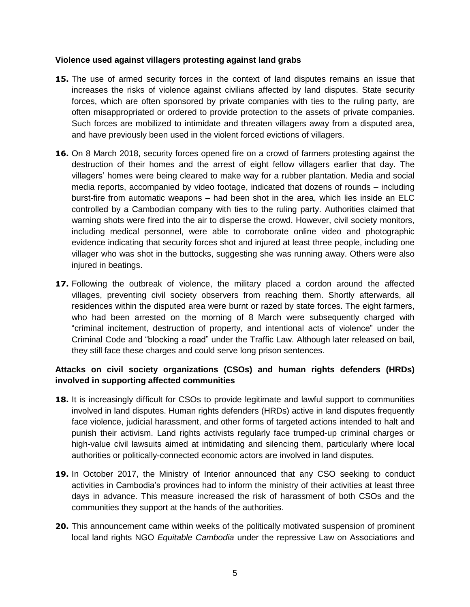#### **Violence used against villagers protesting against land grabs**

- **15.** The use of armed security forces in the context of land disputes remains an issue that increases the risks of violence against civilians affected by land disputes. State security forces, which are often sponsored by private companies with ties to the ruling party, are often misappropriated or ordered to provide protection to the assets of private companies. Such forces are mobilized to intimidate and threaten villagers away from a disputed area, and have previously been used in the violent forced evictions of villagers.
- **16.** On 8 March 2018, security forces opened fire on a crowd of farmers protesting against the destruction of their homes and the arrest of eight fellow villagers earlier that day. The villagers' homes were being cleared to make way for a rubber plantation. Media and social media reports, accompanied by video footage, indicated that dozens of rounds – including burst-fire from automatic weapons – had been shot in the area, which lies inside an ELC controlled by a Cambodian company with ties to the ruling party. Authorities claimed that warning shots were fired into the air to disperse the crowd. However, civil society monitors, including medical personnel, were able to corroborate online video and photographic evidence indicating that security forces shot and injured at least three people, including one villager who was shot in the buttocks, suggesting she was running away. Others were also injured in beatings.
- **17.** Following the outbreak of violence, the military placed a cordon around the affected villages, preventing civil society observers from reaching them. Shortly afterwards, all residences within the disputed area were burnt or razed by state forces. The eight farmers, who had been arrested on the morning of 8 March were subsequently charged with "criminal incitement, destruction of property, and intentional acts of violence" under the Criminal Code and "blocking a road" under the Traffic Law. Although later released on bail, they still face these charges and could serve long prison sentences.

#### **Attacks on civil society organizations (CSOs) and human rights defenders (HRDs) involved in supporting affected communities**

- **18.** It is increasingly difficult for CSOs to provide legitimate and lawful support to communities involved in land disputes. Human rights defenders (HRDs) active in land disputes frequently face violence, judicial harassment, and other forms of targeted actions intended to halt and punish their activism. Land rights activists regularly face trumped-up criminal charges or high-value civil lawsuits aimed at intimidating and silencing them, particularly where local authorities or politically-connected economic actors are involved in land disputes.
- **19.** In October 2017, the Ministry of Interior announced that any CSO seeking to conduct activities in Cambodia's provinces had to inform the ministry of their activities at least three days in advance. This measure increased the risk of harassment of both CSOs and the communities they support at the hands of the authorities.
- **20.** This announcement came within weeks of the politically motivated suspension of prominent local land rights NGO *Equitable Cambodia* under the repressive Law on Associations and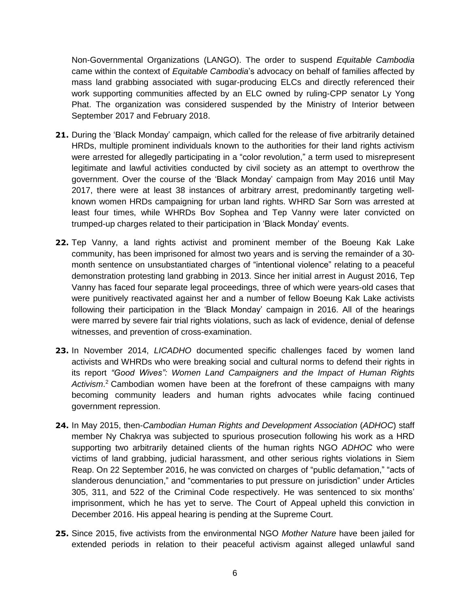Non-Governmental Organizations (LANGO). The order to suspend *Equitable Cambodia* came within the context of *Equitable Cambodia*'s advocacy on behalf of families affected by mass land grabbing associated with sugar-producing ELCs and directly referenced their work supporting communities affected by an ELC owned by ruling-CPP senator Ly Yong Phat. The organization was considered suspended by the Ministry of Interior between September 2017 and February 2018.

- **21.** During the 'Black Monday' campaign, which called for the release of five arbitrarily detained HRDs, multiple prominent individuals known to the authorities for their land rights activism were arrested for allegedly participating in a "color revolution," a term used to misrepresent legitimate and lawful activities conducted by civil society as an attempt to overthrow the government. Over the course of the 'Black Monday' campaign from May 2016 until May 2017, there were at least 38 instances of arbitrary arrest, predominantly targeting wellknown women HRDs campaigning for urban land rights. WHRD Sar Sorn was arrested at least four times, while WHRDs Bov Sophea and Tep Vanny were later convicted on trumped-up charges related to their participation in 'Black Monday' events.
- **22.** Tep Vanny, a land rights activist and prominent member of the Boeung Kak Lake community, has been imprisoned for almost two years and is serving the remainder of a 30 month sentence on unsubstantiated charges of "intentional violence" relating to a peaceful demonstration protesting land grabbing in 2013. Since her initial arrest in August 2016, Tep Vanny has faced four separate legal proceedings, three of which were years-old cases that were punitively reactivated against her and a number of fellow Boeung Kak Lake activists following their participation in the 'Black Monday' campaign in 2016. All of the hearings were marred by severe fair trial rights violations, such as lack of evidence, denial of defense witnesses, and prevention of cross-examination.
- **23.** In November 2014, *LICADHO* documented specific challenges faced by women land activists and WHRDs who were breaking social and cultural norms to defend their rights in its report *"Good Wives": Women Land Campaigners and the Impact of Human Rights Activism*. <sup>2</sup> Cambodian women have been at the forefront of these campaigns with many becoming community leaders and human rights advocates while facing continued government repression.
- **24.** In May 2015, then-*Cambodian Human Rights and Development Association* (*ADHOC*) staff member Ny Chakrya was subjected to spurious prosecution following his work as a HRD supporting two arbitrarily detained clients of the human rights NGO *ADHOC* who were victims of land grabbing, judicial harassment, and other serious rights violations in Siem Reap. On 22 September 2016, he was convicted on charges of "public defamation," "acts of slanderous denunciation," and "commentaries to put pressure on jurisdiction" under Articles 305, 311, and 522 of the Criminal Code respectively. He was sentenced to six months' imprisonment, which he has yet to serve. The Court of Appeal upheld this conviction in December 2016. His appeal hearing is pending at the Supreme Court.
- **25.** Since 2015, five activists from the environmental NGO *Mother Nature* have been jailed for extended periods in relation to their peaceful activism against alleged unlawful sand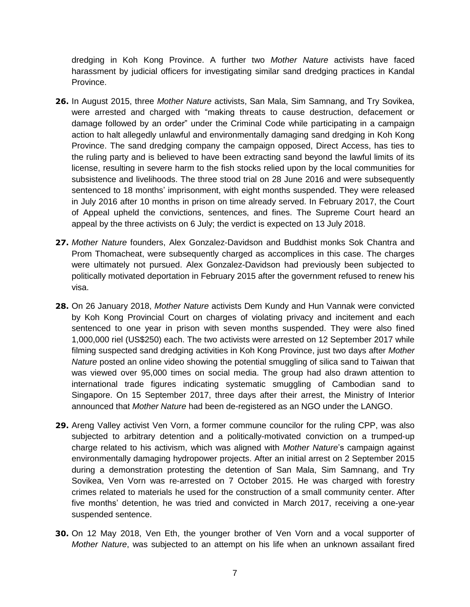dredging in Koh Kong Province. A further two *Mother Nature* activists have faced harassment by judicial officers for investigating similar sand dredging practices in Kandal Province.

- **26.** In August 2015, three *Mother Nature* activists, San Mala, Sim Samnang, and Try Sovikea, were arrested and charged with "making threats to cause destruction, defacement or damage followed by an order" under the Criminal Code while participating in a campaign action to halt allegedly unlawful and environmentally damaging sand dredging in Koh Kong Province. The sand dredging company the campaign opposed, Direct Access, has ties to the ruling party and is believed to have been extracting sand beyond the lawful limits of its license, resulting in severe harm to the fish stocks relied upon by the local communities for subsistence and livelihoods. The three stood trial on 28 June 2016 and were subsequently sentenced to 18 months' imprisonment, with eight months suspended. They were released in July 2016 after 10 months in prison on time already served. In February 2017, the Court of Appeal upheld the convictions, sentences, and fines. The Supreme Court heard an appeal by the three activists on 6 July; the verdict is expected on 13 July 2018.
- **27.** *Mother Nature* founders, Alex Gonzalez-Davidson and Buddhist monks Sok Chantra and Prom Thomacheat, were subsequently charged as accomplices in this case. The charges were ultimately not pursued. Alex Gonzalez-Davidson had previously been subjected to politically motivated deportation in February 2015 after the government refused to renew his visa.
- **28.** On 26 January 2018, *Mother Nature* activists Dem Kundy and Hun Vannak were convicted by Koh Kong Provincial Court on charges of violating privacy and incitement and each sentenced to one year in prison with seven months suspended. They were also fined 1,000,000 riel (US\$250) each. The two activists were arrested on 12 September 2017 while filming suspected sand dredging activities in Koh Kong Province, just two days after *Mother Nature* posted an online video showing the potential smuggling of silica sand to Taiwan that was viewed over 95,000 times on social media. The group had also drawn attention to international trade figures indicating systematic smuggling of Cambodian sand to Singapore. On 15 September 2017, three days after their arrest, the Ministry of Interior announced that *Mother Nature* had been de-registered as an NGO under the LANGO.
- **29.** Areng Valley activist Ven Vorn, a former commune councilor for the ruling CPP, was also subjected to arbitrary detention and a politically-motivated conviction on a trumped-up charge related to his activism, which was aligned with *Mother Nature*'s campaign against environmentally damaging hydropower projects. After an initial arrest on 2 September 2015 during a demonstration protesting the detention of San Mala, Sim Samnang, and Try Sovikea, Ven Vorn was re-arrested on 7 October 2015. He was charged with forestry crimes related to materials he used for the construction of a small community center. After five months' detention, he was tried and convicted in March 2017, receiving a one-year suspended sentence.
- **30.** On 12 May 2018, Ven Eth, the younger brother of Ven Vorn and a vocal supporter of *Mother Nature*, was subjected to an attempt on his life when an unknown assailant fired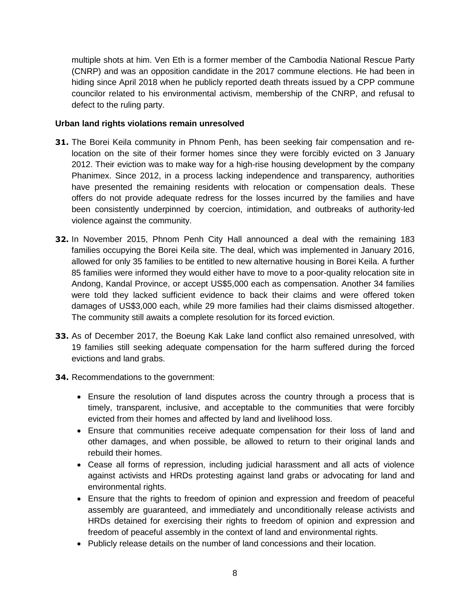multiple shots at him. Ven Eth is a former member of the Cambodia National Rescue Party (CNRP) and was an opposition candidate in the 2017 commune elections. He had been in hiding since April 2018 when he publicly reported death threats issued by a CPP commune councilor related to his environmental activism, membership of the CNRP, and refusal to defect to the ruling party.

#### **Urban land rights violations remain unresolved**

- **31.** The Borei Keila community in Phnom Penh, has been seeking fair compensation and relocation on the site of their former homes since they were forcibly evicted on 3 January 2012. Their eviction was to make way for a high-rise housing development by the company Phanimex. Since 2012, in a process lacking independence and transparency, authorities have presented the remaining residents with relocation or compensation deals. These offers do not provide adequate redress for the losses incurred by the families and have been consistently underpinned by coercion, intimidation, and outbreaks of authority-led violence against the community.
- **32.** In November 2015, Phnom Penh City Hall announced a deal with the remaining 183 families occupying the Borei Keila site. The deal, which was implemented in January 2016, allowed for only 35 families to be entitled to new alternative housing in Borei Keila. A further 85 families were informed they would either have to move to a poor-quality relocation site in Andong, Kandal Province, or accept US\$5,000 each as compensation. Another 34 families were told they lacked sufficient evidence to back their claims and were offered token damages of US\$3,000 each, while 29 more families had their claims dismissed altogether. The community still awaits a complete resolution for its forced eviction.
- **33.** As of December 2017, the Boeung Kak Lake land conflict also remained unresolved, with 19 families still seeking adequate compensation for the harm suffered during the forced evictions and land grabs.
- **34.** Recommendations to the government:
	- Ensure the resolution of land disputes across the country through a process that is timely, transparent, inclusive, and acceptable to the communities that were forcibly evicted from their homes and affected by land and livelihood loss.
	- Ensure that communities receive adequate compensation for their loss of land and other damages, and when possible, be allowed to return to their original lands and rebuild their homes.
	- Cease all forms of repression, including judicial harassment and all acts of violence against activists and HRDs protesting against land grabs or advocating for land and environmental rights.
	- Ensure that the rights to freedom of opinion and expression and freedom of peaceful assembly are guaranteed, and immediately and unconditionally release activists and HRDs detained for exercising their rights to freedom of opinion and expression and freedom of peaceful assembly in the context of land and environmental rights.
	- Publicly release details on the number of land concessions and their location.